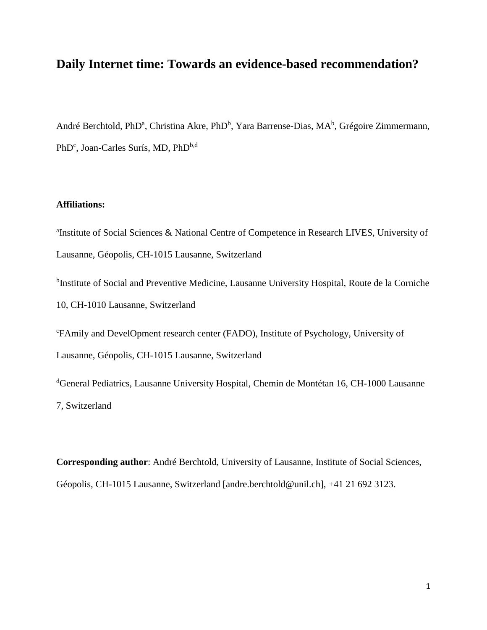# **Daily Internet time: Towards an evidence-based recommendation?**

André Berchtold, PhD<sup>a</sup>, Christina Akre, PhD<sup>b</sup>, Yara Barrense-Dias, MA<sup>b</sup>, Grégoire Zimmermann, PhD<sup>c</sup>, Joan-Carles Surís, MD, PhD<sup>b,d</sup>

# **Affiliations:**

<sup>a</sup>Institute of Social Sciences & National Centre of Competence in Research LIVES, University of Lausanne, Géopolis, CH-1015 Lausanne, Switzerland <sup>b</sup>Institute of Social and Preventive Medicine, Lausanne University Hospital, Route de la Corniche

10, CH-1010 Lausanne, Switzerland

<sup>c</sup>FAmily and DevelOpment research center (FADO), Institute of Psychology, University of Lausanne, Géopolis, CH-1015 Lausanne, Switzerland

<sup>d</sup>General Pediatrics, Lausanne University Hospital, Chemin de Montétan 16, CH-1000 Lausanne 7, Switzerland

**Corresponding author**: André Berchtold, University of Lausanne, Institute of Social Sciences, Géopolis, CH-1015 Lausanne, Switzerland [andre.berchtold@unil.ch], +41 21 692 3123.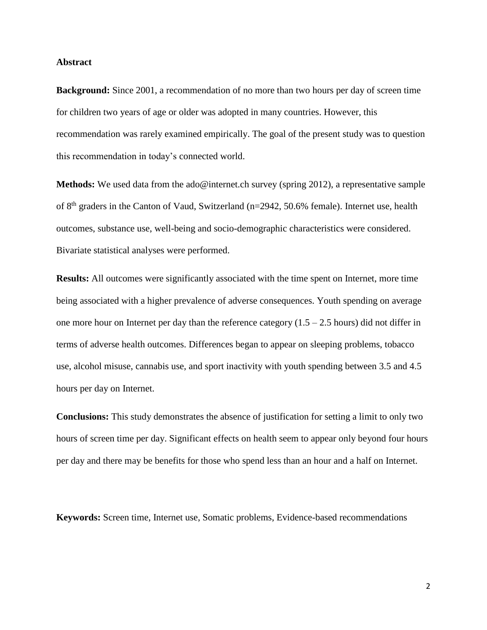#### **Abstract**

**Background:** Since 2001, a recommendation of no more than two hours per day of screen time for children two years of age or older was adopted in many countries. However, this recommendation was rarely examined empirically. The goal of the present study was to question this recommendation in today's connected world.

**Methods:** We used data from the ado@internet.ch survey (spring 2012), a representative sample of 8<sup>th</sup> graders in the Canton of Vaud, Switzerland (n=2942, 50.6% female). Internet use, health outcomes, substance use, well-being and socio-demographic characteristics were considered. Bivariate statistical analyses were performed.

**Results:** All outcomes were significantly associated with the time spent on Internet, more time being associated with a higher prevalence of adverse consequences. Youth spending on average one more hour on Internet per day than the reference category  $(1.5 - 2.5$  hours) did not differ in terms of adverse health outcomes. Differences began to appear on sleeping problems, tobacco use, alcohol misuse, cannabis use, and sport inactivity with youth spending between 3.5 and 4.5 hours per day on Internet.

**Conclusions:** This study demonstrates the absence of justification for setting a limit to only two hours of screen time per day. Significant effects on health seem to appear only beyond four hours per day and there may be benefits for those who spend less than an hour and a half on Internet.

**Keywords:** Screen time, Internet use, Somatic problems, Evidence-based recommendations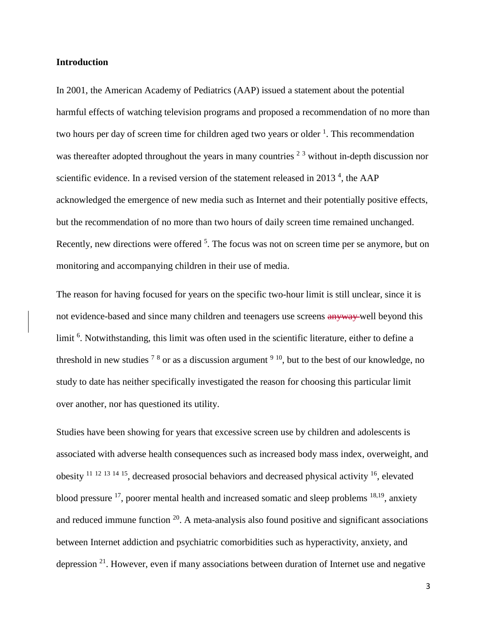## **Introduction**

In 2001, the American Academy of Pediatrics (AAP) issued a statement about the potential harmful effects of watching television programs and proposed a recommendation of no more than two hours per day of screen time for children aged two years or older <sup>1</sup>. This recommendation was thereafter adopted throughout the years in many countries  $2<sup>3</sup>$  without in-depth discussion nor scientific evidence. In a revised version of the statement released in 2013<sup>4</sup>, the AAP acknowledged the emergence of new media such as Internet and their potentially positive effects, but the recommendation of no more than two hours of daily screen time remained unchanged. Recently, new directions were offered <sup>5</sup>. The focus was not on screen time per se anymore, but on monitoring and accompanying children in their use of media.

The reason for having focused for years on the specific two-hour limit is still unclear, since it is not evidence-based and since many children and teenagers use screens anyway well beyond this limit <sup>6</sup>. Notwithstanding, this limit was often used in the scientific literature, either to define a threshold in new studies  $78$  or as a discussion argument  $910$ , but to the best of our knowledge, no study to date has neither specifically investigated the reason for choosing this particular limit over another, nor has questioned its utility.

Studies have been showing for years that excessive screen use by children and adolescents is associated with adverse health consequences such as increased body mass index, overweight, and obesity  $11$  12  $13$  14  $15$ , decreased prosocial behaviors and decreased physical activity  $16$ , elevated blood pressure  $^{17}$ , poorer mental health and increased somatic and sleep problems  $^{18,19}$ , anxiety and reduced immune function  $20$ . A meta-analysis also found positive and significant associations between Internet addiction and psychiatric comorbidities such as hyperactivity, anxiety, and depression  $2<sup>1</sup>$ . However, even if many associations between duration of Internet use and negative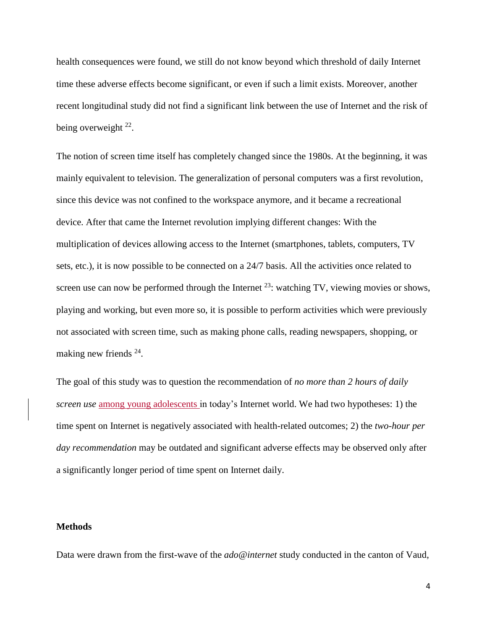health consequences were found, we still do not know beyond which threshold of daily Internet time these adverse effects become significant, or even if such a limit exists. Moreover, another recent longitudinal study did not find a significant link between the use of Internet and the risk of being overweight  $22$ .

The notion of screen time itself has completely changed since the 1980s. At the beginning, it was mainly equivalent to television. The generalization of personal computers was a first revolution, since this device was not confined to the workspace anymore, and it became a recreational device. After that came the Internet revolution implying different changes: With the multiplication of devices allowing access to the Internet (smartphones, tablets, computers, TV sets, etc.), it is now possible to be connected on a 24/7 basis. All the activities once related to screen use can now be performed through the Internet  $^{23}$ : watching TV, viewing movies or shows, playing and working, but even more so, it is possible to perform activities which were previously not associated with screen time, such as making phone calls, reading newspapers, shopping, or making new friends <sup>24</sup>.

The goal of this study was to question the recommendation of *no more than 2 hours of daily screen use* among young adolescents in today's Internet world. We had two hypotheses: 1) the time spent on Internet is negatively associated with health-related outcomes; 2) the *two-hour per day recommendation* may be outdated and significant adverse effects may be observed only after a significantly longer period of time spent on Internet daily.

#### **Methods**

Data were drawn from the first-wave of the *ado@internet* study conducted in the canton of Vaud,

4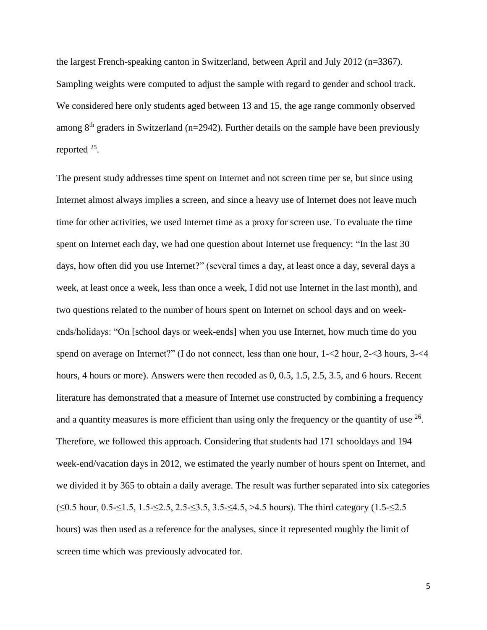the largest French-speaking canton in Switzerland, between April and July 2012 (n=3367). Sampling weights were computed to adjust the sample with regard to gender and school track. We considered here only students aged between 13 and 15, the age range commonly observed among  $8<sup>th</sup>$  graders in Switzerland (n=2942). Further details on the sample have been previously reported <sup>25</sup>.

The present study addresses time spent on Internet and not screen time per se, but since using Internet almost always implies a screen, and since a heavy use of Internet does not leave much time for other activities, we used Internet time as a proxy for screen use. To evaluate the time spent on Internet each day, we had one question about Internet use frequency: "In the last 30 days, how often did you use Internet?" (several times a day, at least once a day, several days a week, at least once a week, less than once a week, I did not use Internet in the last month), and two questions related to the number of hours spent on Internet on school days and on weekends/holidays: "On [school days or week-ends] when you use Internet, how much time do you spend on average on Internet?" (I do not connect, less than one hour, 1-<2 hour, 2-<3 hours, 3-<4 hours, 4 hours or more). Answers were then recoded as 0, 0.5, 1.5, 2.5, 3.5, and 6 hours. Recent literature has demonstrated that a measure of Internet use constructed by combining a frequency and a quantity measures is more efficient than using only the frequency or the quantity of use  $26$ . Therefore, we followed this approach. Considering that students had 171 schooldays and 194 week-end/vacation days in 2012, we estimated the yearly number of hours spent on Internet, and we divided it by 365 to obtain a daily average. The result was further separated into six categories (≤0.5 hour, 0.5-≤1.5, 1.5-≤2.5, 2.5-≤3.5, 3.5-≤4.5, >4.5 hours). The third category (1.5-≤2.5 hours) was then used as a reference for the analyses, since it represented roughly the limit of screen time which was previously advocated for.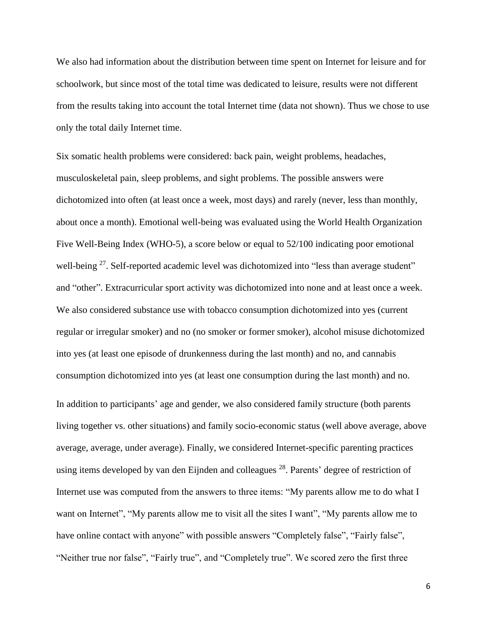We also had information about the distribution between time spent on Internet for leisure and for schoolwork, but since most of the total time was dedicated to leisure, results were not different from the results taking into account the total Internet time (data not shown). Thus we chose to use only the total daily Internet time.

Six somatic health problems were considered: back pain, weight problems, headaches, musculoskeletal pain, sleep problems, and sight problems. The possible answers were dichotomized into often (at least once a week, most days) and rarely (never, less than monthly, about once a month). Emotional well-being was evaluated using the World Health Organization Five Well-Being Index (WHO-5), a score below or equal to 52/100 indicating poor emotional well-being <sup>27</sup>. Self-reported academic level was dichotomized into "less than average student" and "other". Extracurricular sport activity was dichotomized into none and at least once a week. We also considered substance use with tobacco consumption dichotomized into yes (current regular or irregular smoker) and no (no smoker or former smoker), alcohol misuse dichotomized into yes (at least one episode of drunkenness during the last month) and no, and cannabis consumption dichotomized into yes (at least one consumption during the last month) and no. In addition to participants' age and gender, we also considered family structure (both parents living together vs. other situations) and family socio-economic status (well above average, above average, average, under average). Finally, we considered Internet-specific parenting practices using items developed by van den Eijnden and colleagues  $28$ . Parents' degree of restriction of Internet use was computed from the answers to three items: "My parents allow me to do what I want on Internet", "My parents allow me to visit all the sites I want", "My parents allow me to have online contact with anyone" with possible answers "Completely false", "Fairly false", "Neither true nor false", "Fairly true", and "Completely true". We scored zero the first three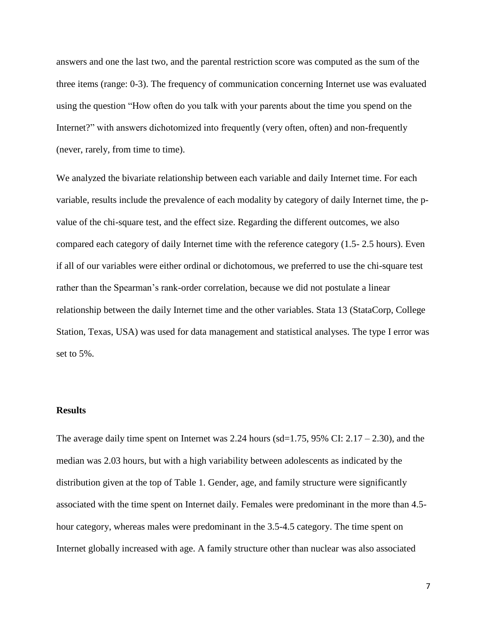answers and one the last two, and the parental restriction score was computed as the sum of the three items (range: 0-3). The frequency of communication concerning Internet use was evaluated using the question "How often do you talk with your parents about the time you spend on the Internet?" with answers dichotomized into frequently (very often, often) and non-frequently (never, rarely, from time to time).

We analyzed the bivariate relationship between each variable and daily Internet time. For each variable, results include the prevalence of each modality by category of daily Internet time, the pvalue of the chi-square test, and the effect size. Regarding the different outcomes, we also compared each category of daily Internet time with the reference category (1.5- 2.5 hours). Even if all of our variables were either ordinal or dichotomous, we preferred to use the chi-square test rather than the Spearman's rank-order correlation, because we did not postulate a linear relationship between the daily Internet time and the other variables. Stata 13 (StataCorp, College Station, Texas, USA) was used for data management and statistical analyses. The type I error was set to 5%.

#### **Results**

The average daily time spent on Internet was 2.24 hours ( $sd=1.75$ ,  $95\%$  CI:  $2.17 - 2.30$ ), and the median was 2.03 hours, but with a high variability between adolescents as indicated by the distribution given at the top of Table 1. Gender, age, and family structure were significantly associated with the time spent on Internet daily. Females were predominant in the more than 4.5 hour category, whereas males were predominant in the 3.5-4.5 category. The time spent on Internet globally increased with age. A family structure other than nuclear was also associated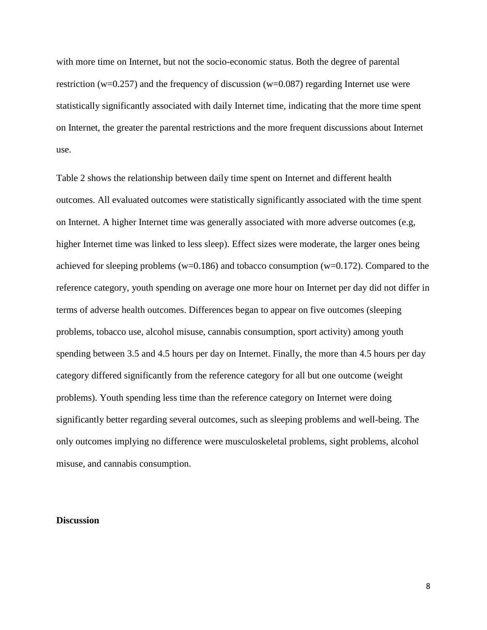with more time on Internet, but not the socio-economic status. Both the degree of parental restriction (w=0.257) and the frequency of discussion (w=0.087) regarding Internet use were statistically significantly associated with daily Internet time, indicating that the more time spent on Internet, the greater the parental restrictions and the more frequent discussions about Internet use.

Table 2 shows the relationship between daily time spent on Internet and different health outcomes. All evaluated outcomes were statistically significantly associated with the time spent on Internet. A higher Internet time was generally associated with more adverse outcomes (e.g, higher Internet time was linked to less sleep). Effect sizes were moderate, the larger ones being achieved for sleeping problems ( $w=0.186$ ) and tobacco consumption ( $w=0.172$ ). Compared to the reference category, youth spending on average one more hour on Internet per day did not differ in terms of adverse health outcomes. Differences began to appear on five outcomes (sleeping problems, tobacco use, alcohol misuse, cannabis consumption, sport activity) among youth spending between 3.5 and 4.5 hours per day on Internet. Finally, the more than 4.5 hours per day category differed significantly from the reference category for all but one outcome (weight problems). Youth spending less time than the reference category on Internet were doing significantly better regarding several outcomes, such as sleeping problems and well-being. The only outcomes implying no difference were musculoskeletal problems, sight problems, alcohol misuse, and cannabis consumption.

#### **Discussion**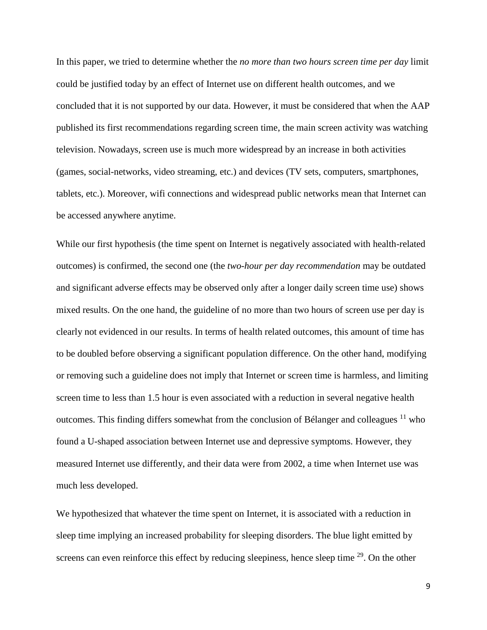In this paper, we tried to determine whether the *no more than two hours screen time per day* limit could be justified today by an effect of Internet use on different health outcomes, and we concluded that it is not supported by our data. However, it must be considered that when the AAP published its first recommendations regarding screen time, the main screen activity was watching television. Nowadays, screen use is much more widespread by an increase in both activities (games, social-networks, video streaming, etc.) and devices (TV sets, computers, smartphones, tablets, etc.). Moreover, wifi connections and widespread public networks mean that Internet can be accessed anywhere anytime.

While our first hypothesis (the time spent on Internet is negatively associated with health-related outcomes) is confirmed, the second one (the *two-hour per day recommendation* may be outdated and significant adverse effects may be observed only after a longer daily screen time use) shows mixed results. On the one hand, the guideline of no more than two hours of screen use per day is clearly not evidenced in our results. In terms of health related outcomes, this amount of time has to be doubled before observing a significant population difference. On the other hand, modifying or removing such a guideline does not imply that Internet or screen time is harmless, and limiting screen time to less than 1.5 hour is even associated with a reduction in several negative health outcomes. This finding differs somewhat from the conclusion of Bélanger and colleagues  $11$  who found a U-shaped association between Internet use and depressive symptoms. However, they measured Internet use differently, and their data were from 2002, a time when Internet use was much less developed.

We hypothesized that whatever the time spent on Internet, it is associated with a reduction in sleep time implying an increased probability for sleeping disorders. The blue light emitted by screens can even reinforce this effect by reducing sleepiness, hence sleep time <sup>29</sup>. On the other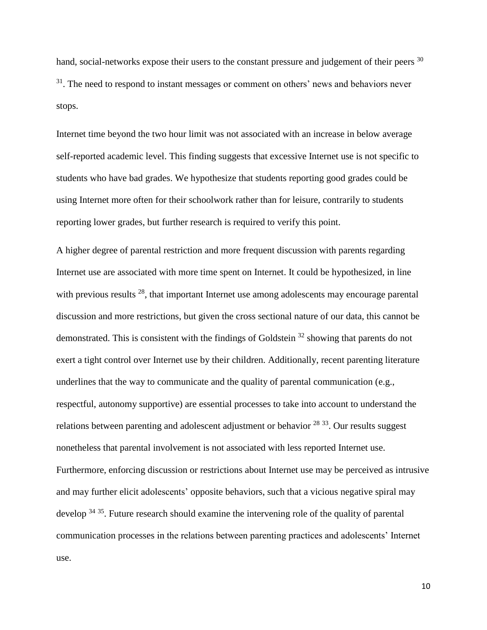hand, social-networks expose their users to the constant pressure and judgement of their peers <sup>30</sup>  $31$ . The need to respond to instant messages or comment on others' news and behaviors never stops.

Internet time beyond the two hour limit was not associated with an increase in below average self-reported academic level. This finding suggests that excessive Internet use is not specific to students who have bad grades. We hypothesize that students reporting good grades could be using Internet more often for their schoolwork rather than for leisure, contrarily to students reporting lower grades, but further research is required to verify this point.

A higher degree of parental restriction and more frequent discussion with parents regarding Internet use are associated with more time spent on Internet. It could be hypothesized, in line with previous results  $28$ , that important Internet use among adolescents may encourage parental discussion and more restrictions, but given the cross sectional nature of our data, this cannot be demonstrated. This is consistent with the findings of Goldstein<sup>32</sup> showing that parents do not exert a tight control over Internet use by their children. Additionally, recent parenting literature underlines that the way to communicate and the quality of parental communication (e.g., respectful, autonomy supportive) are essential processes to take into account to understand the relations between parenting and adolescent adjustment or behavior  $^{28}$   $^{33}$ . Our results suggest nonetheless that parental involvement is not associated with less reported Internet use. Furthermore, enforcing discussion or restrictions about Internet use may be perceived as intrusive and may further elicit adolescents' opposite behaviors, such that a vicious negative spiral may develop  $3435$ . Future research should examine the intervening role of the quality of parental communication processes in the relations between parenting practices and adolescents' Internet use.

10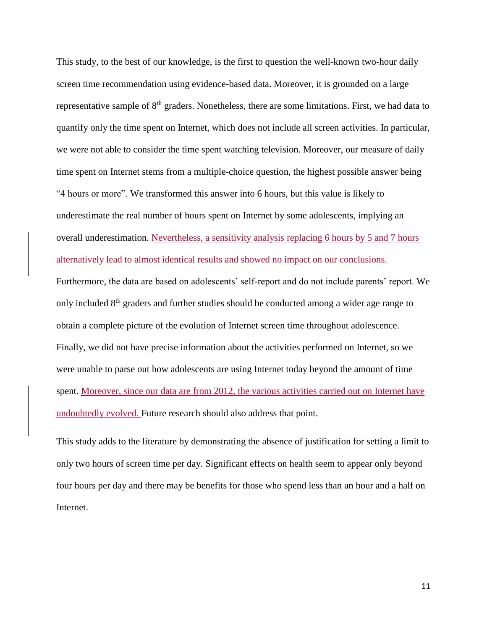This study, to the best of our knowledge, is the first to question the well-known two-hour daily screen time recommendation using evidence-based data. Moreover, it is grounded on a large representative sample of  $8<sup>th</sup>$  graders. Nonetheless, there are some limitations. First, we had data to quantify only the time spent on Internet, which does not include all screen activities. In particular, we were not able to consider the time spent watching television. Moreover, our measure of daily time spent on Internet stems from a multiple-choice question, the highest possible answer being "4 hours or more". We transformed this answer into 6 hours, but this value is likely to underestimate the real number of hours spent on Internet by some adolescents, implying an overall underestimation. Nevertheless, a sensitivity analysis replacing 6 hours by 5 and 7 hours alternatively lead to almost identical results and showed no impact on our conclusions. Furthermore, the data are based on adolescents' self-report and do not include parents' report. We only included  $8<sup>th</sup>$  graders and further studies should be conducted among a wider age range to obtain a complete picture of the evolution of Internet screen time throughout adolescence. Finally, we did not have precise information about the activities performed on Internet, so we were unable to parse out how adolescents are using Internet today beyond the amount of time spent. Moreover, since our data are from 2012, the various activities carried out on Internet have undoubtedly evolved. Future research should also address that point.

This study adds to the literature by demonstrating the absence of justification for setting a limit to only two hours of screen time per day. Significant effects on health seem to appear only beyond four hours per day and there may be benefits for those who spend less than an hour and a half on Internet.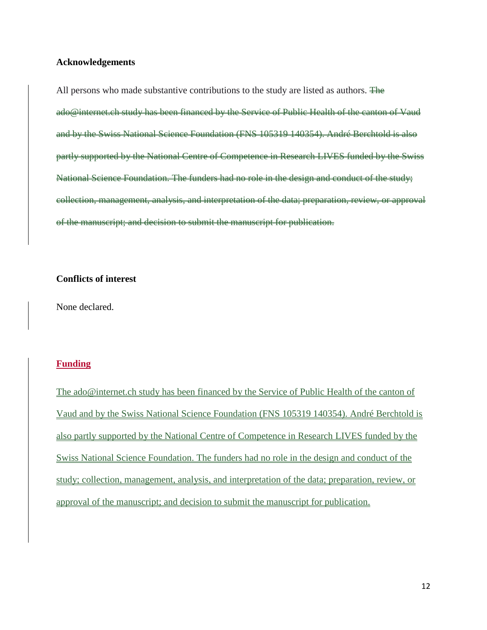#### **Acknowledgements**

All persons who made substantive contributions to the study are listed as authors.  $\overline{F}$ ado@internet.ch study has been financed by the Service of Public Health of the canton of Vaud and by the Swiss National Science Foundation (FNS 105319 140354). André Berchtold is also partly supported by the National Centre of Competence in Research LIVES funded by the Swiss National Science Foundation. The funders had no role in the design and conduct of the study; collection, management, analysis, and interpretation of the data; preparation, review, or approval of the manuscript; and decision to submit the manuscript for publication.

#### **Conflicts of interest**

None declared.

### **Funding**

The ado@internet.ch study has been financed by the Service of Public Health of the canton of Vaud and by the Swiss National Science Foundation (FNS 105319 140354). André Berchtold is also partly supported by the National Centre of Competence in Research LIVES funded by the Swiss National Science Foundation. The funders had no role in the design and conduct of the study; collection, management, analysis, and interpretation of the data; preparation, review, or approval of the manuscript; and decision to submit the manuscript for publication.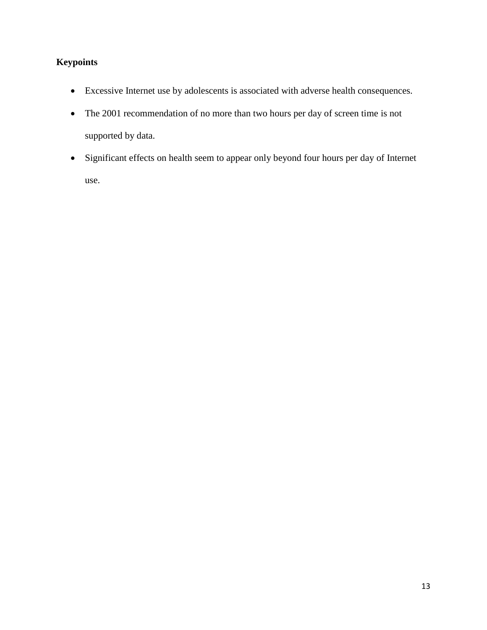# **Keypoints**

- Excessive Internet use by adolescents is associated with adverse health consequences.
- The 2001 recommendation of no more than two hours per day of screen time is not supported by data.
- Significant effects on health seem to appear only beyond four hours per day of Internet use.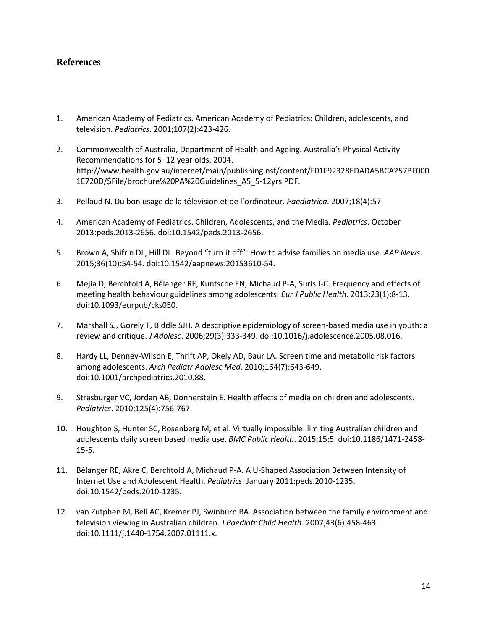# **References**

- 1. American Academy of Pediatrics. American Academy of Pediatrics: Children, adolescents, and television. *Pediatrics*. 2001;107(2):423-426.
- 2. Commonwealth of Australia, Department of Health and Ageing. Australia's Physical Activity Recommendations for 5–12 year olds. 2004. http://www.health.gov.au/internet/main/publishing.nsf/content/F01F92328EDADA5BCA257BF000 1E720D/\$File/brochure%20PA%20Guidelines\_A5\_5-12yrs.PDF.
- 3. Pellaud N. Du bon usage de la télévision et de l'ordinateur. *Paediatrica*. 2007;18(4):57.
- 4. American Academy of Pediatrics. Children, Adolescents, and the Media. *Pediatrics*. October 2013:peds.2013-2656. doi:10.1542/peds.2013-2656.
- 5. Brown A, Shifrin DL, Hill DL. Beyond "turn it off": How to advise families on media use. *AAP News*. 2015;36(10):54-54. doi:10.1542/aapnews.20153610-54.
- 6. Mejía D, Berchtold A, Bélanger RE, Kuntsche EN, Michaud P-A, Surís J-C. Frequency and effects of meeting health behaviour guidelines among adolescents. *Eur J Public Health*. 2013;23(1):8-13. doi:10.1093/eurpub/cks050.
- 7. Marshall SJ, Gorely T, Biddle SJH. A descriptive epidemiology of screen-based media use in youth: a review and critique. *J Adolesc*. 2006;29(3):333-349. doi:10.1016/j.adolescence.2005.08.016.
- 8. Hardy LL, Denney-Wilson E, Thrift AP, Okely AD, Baur LA. Screen time and metabolic risk factors among adolescents. *Arch Pediatr Adolesc Med*. 2010;164(7):643-649. doi:10.1001/archpediatrics.2010.88.
- 9. Strasburger VC, Jordan AB, Donnerstein E. Health effects of media on children and adolescents. *Pediatrics*. 2010;125(4):756-767.
- 10. Houghton S, Hunter SC, Rosenberg M, et al. Virtually impossible: limiting Australian children and adolescents daily screen based media use. *BMC Public Health*. 2015;15:5. doi:10.1186/1471-2458- 15-5.
- 11. Bélanger RE, Akre C, Berchtold A, Michaud P-A. A U-Shaped Association Between Intensity of Internet Use and Adolescent Health. *Pediatrics*. January 2011:peds.2010-1235. doi:10.1542/peds.2010-1235.
- 12. van Zutphen M, Bell AC, Kremer PJ, Swinburn BA. Association between the family environment and television viewing in Australian children. *J Paediatr Child Health*. 2007;43(6):458-463. doi:10.1111/j.1440-1754.2007.01111.x.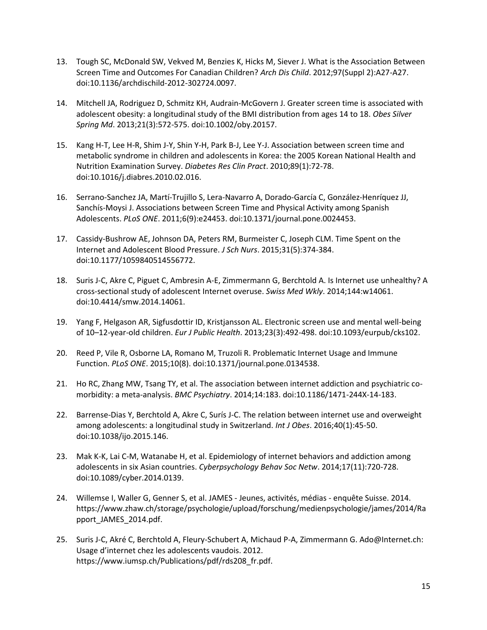- 13. Tough SC, McDonald SW, Vekved M, Benzies K, Hicks M, Siever J. What is the Association Between Screen Time and Outcomes For Canadian Children? *Arch Dis Child*. 2012;97(Suppl 2):A27-A27. doi:10.1136/archdischild-2012-302724.0097.
- 14. Mitchell JA, Rodriguez D, Schmitz KH, Audrain-McGovern J. Greater screen time is associated with adolescent obesity: a longitudinal study of the BMI distribution from ages 14 to 18. *Obes Silver Spring Md*. 2013;21(3):572-575. doi:10.1002/oby.20157.
- 15. Kang H-T, Lee H-R, Shim J-Y, Shin Y-H, Park B-J, Lee Y-J. Association between screen time and metabolic syndrome in children and adolescents in Korea: the 2005 Korean National Health and Nutrition Examination Survey. *Diabetes Res Clin Pract*. 2010;89(1):72-78. doi:10.1016/j.diabres.2010.02.016.
- 16. Serrano-Sanchez JA, Martí-Trujillo S, Lera-Navarro A, Dorado-García C, González-Henríquez JJ, Sanchís-Moysi J. Associations between Screen Time and Physical Activity among Spanish Adolescents. *PLoS ONE*. 2011;6(9):e24453. doi:10.1371/journal.pone.0024453.
- 17. Cassidy-Bushrow AE, Johnson DA, Peters RM, Burmeister C, Joseph CLM. Time Spent on the Internet and Adolescent Blood Pressure. *J Sch Nurs*. 2015;31(5):374-384. doi:10.1177/1059840514556772.
- 18. Suris J-C, Akre C, Piguet C, Ambresin A-E, Zimmermann G, Berchtold A. Is Internet use unhealthy? A cross-sectional study of adolescent Internet overuse. *Swiss Med Wkly*. 2014;144:w14061. doi:10.4414/smw.2014.14061.
- 19. Yang F, Helgason AR, Sigfusdottir ID, Kristjansson AL. Electronic screen use and mental well-being of 10–12-year-old children. *Eur J Public Health*. 2013;23(3):492-498. doi:10.1093/eurpub/cks102.
- 20. Reed P, Vile R, Osborne LA, Romano M, Truzoli R. Problematic Internet Usage and Immune Function. *PLoS ONE*. 2015;10(8). doi:10.1371/journal.pone.0134538.
- 21. Ho RC, Zhang MW, Tsang TY, et al. The association between internet addiction and psychiatric comorbidity: a meta-analysis. *BMC Psychiatry*. 2014;14:183. doi:10.1186/1471-244X-14-183.
- 22. Barrense-Dias Y, Berchtold A, Akre C, Surís J-C. The relation between internet use and overweight among adolescents: a longitudinal study in Switzerland. *Int J Obes*. 2016;40(1):45-50. doi:10.1038/ijo.2015.146.
- 23. Mak K-K, Lai C-M, Watanabe H, et al. Epidemiology of internet behaviors and addiction among adolescents in six Asian countries. *Cyberpsychology Behav Soc Netw*. 2014;17(11):720-728. doi:10.1089/cyber.2014.0139.
- 24. Willemse I, Waller G, Genner S, et al. JAMES Jeunes, activités, médias enquête Suisse. 2014. https://www.zhaw.ch/storage/psychologie/upload/forschung/medienpsychologie/james/2014/Ra pport\_JAMES\_2014.pdf.
- 25. Suris J-C, Akré C, Berchtold A, Fleury-Schubert A, Michaud P-A, Zimmermann G. Ado@Internet.ch: Usage d'internet chez les adolescents vaudois. 2012. https://www.iumsp.ch/Publications/pdf/rds208\_fr.pdf.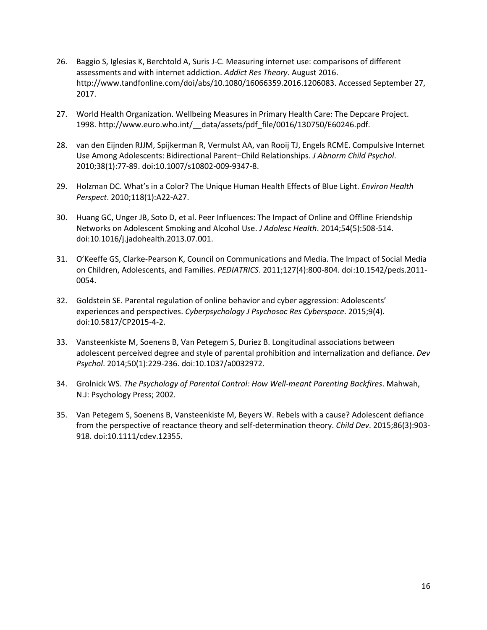- 26. Baggio S, Iglesias K, Berchtold A, Suris J-C. Measuring internet use: comparisons of different assessments and with internet addiction. *Addict Res Theory*. August 2016. http://www.tandfonline.com/doi/abs/10.1080/16066359.2016.1206083. Accessed September 27, 2017.
- 27. World Health Organization. Wellbeing Measures in Primary Health Care: The Depcare Project. 1998. http://www.euro.who.int/\_\_data/assets/pdf\_file/0016/130750/E60246.pdf.
- 28. van den Eijnden RJJM, Spijkerman R, Vermulst AA, van Rooij TJ, Engels RCME. Compulsive Internet Use Among Adolescents: Bidirectional Parent–Child Relationships. *J Abnorm Child Psychol*. 2010;38(1):77-89. doi:10.1007/s10802-009-9347-8.
- 29. Holzman DC. What's in a Color? The Unique Human Health Effects of Blue Light. *Environ Health Perspect*. 2010;118(1):A22-A27.
- 30. Huang GC, Unger JB, Soto D, et al. Peer Influences: The Impact of Online and Offline Friendship Networks on Adolescent Smoking and Alcohol Use. *J Adolesc Health*. 2014;54(5):508-514. doi:10.1016/j.jadohealth.2013.07.001.
- 31. O'Keeffe GS, Clarke-Pearson K, Council on Communications and Media. The Impact of Social Media on Children, Adolescents, and Families. *PEDIATRICS*. 2011;127(4):800-804. doi:10.1542/peds.2011- 0054.
- 32. Goldstein SE. Parental regulation of online behavior and cyber aggression: Adolescents' experiences and perspectives. *Cyberpsychology J Psychosoc Res Cyberspace*. 2015;9(4). doi:10.5817/CP2015-4-2.
- 33. Vansteenkiste M, Soenens B, Van Petegem S, Duriez B. Longitudinal associations between adolescent perceived degree and style of parental prohibition and internalization and defiance. *Dev Psychol*. 2014;50(1):229-236. doi:10.1037/a0032972.
- 34. Grolnick WS. *The Psychology of Parental Control: How Well-meant Parenting Backfires*. Mahwah, N.J: Psychology Press; 2002.
- 35. Van Petegem S, Soenens B, Vansteenkiste M, Beyers W. Rebels with a cause? Adolescent defiance from the perspective of reactance theory and self-determination theory. *Child Dev*. 2015;86(3):903- 918. doi:10.1111/cdev.12355.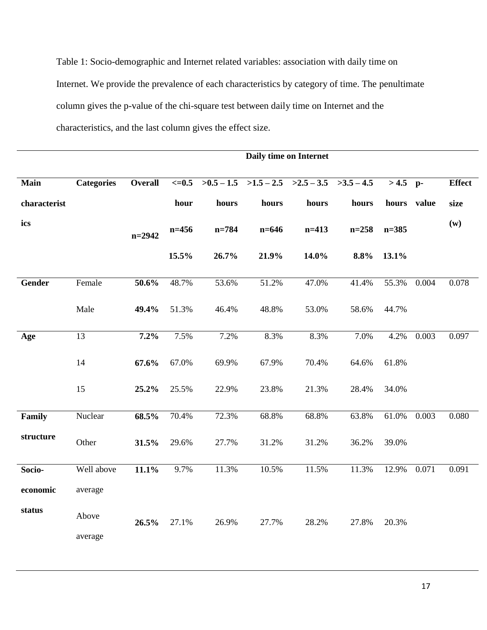Table 1: Socio-demographic and Internet related variables: association with daily time on Internet. We provide the prevalence of each characteristics by category of time. The penultimate column gives the p-value of the chi-square test between daily time on Internet and the characteristics, and the last column gives the effect size.

|               |                   | Daily time on Internet |                  |           |           |                                                     |           |             |       |               |
|---------------|-------------------|------------------------|------------------|-----------|-----------|-----------------------------------------------------|-----------|-------------|-------|---------------|
|               |                   |                        |                  |           |           |                                                     |           |             |       |               |
| Main          | <b>Categories</b> | <b>Overall</b>         | $\epsilon = 0.5$ |           |           | $>0.5 - 1.5$ $>1.5 - 2.5$ $>2.5 - 3.5$ $>3.5 - 4.5$ |           | $>4.5$ p-   |       | <b>Effect</b> |
| characterist  |                   |                        | hour             | hours     | hours     | hours                                               | hours     | hours value |       | size          |
| ics           |                   | $n=2942$               | $n = 456$        | $n = 784$ | $n = 646$ | $n=413$                                             | $n = 258$ | $n = 385$   |       | (w)           |
|               |                   |                        | 15.5%            | 26.7%     | 21.9%     | 14.0%                                               | 8.8%      | 13.1%       |       |               |
| <b>Gender</b> | Female            | 50.6%                  | 48.7%            | 53.6%     | 51.2%     | 47.0%                                               | 41.4%     | 55.3%       | 0.004 | 0.078         |
|               | Male              | 49.4%                  | 51.3%            | 46.4%     | 48.8%     | 53.0%                                               | 58.6%     | 44.7%       |       |               |
| Age           | $\overline{13}$   | 7.2%                   | 7.5%             | 7.2%      | 8.3%      | 8.3%                                                | 7.0%      | 4.2%        | 0.003 | 0.097         |
|               | 14                | 67.6%                  | 67.0%            | 69.9%     | 67.9%     | 70.4%                                               | 64.6%     | 61.8%       |       |               |
|               | 15                | 25.2%                  | 25.5%            | 22.9%     | 23.8%     | 21.3%                                               | 28.4%     | 34.0%       |       |               |
| Family        | Nuclear           | 68.5%                  | 70.4%            | 72.3%     | 68.8%     | 68.8%                                               | 63.8%     | 61.0%       | 0.003 | 0.080         |
| structure     | Other             | 31.5%                  | 29.6%            | 27.7%     | 31.2%     | 31.2%                                               | 36.2%     | 39.0%       |       |               |
| Socio-        | Well above        | 11.1%                  | 9.7%             | 11.3%     | 10.5%     | 11.5%                                               | 11.3%     | 12.9%       | 0.071 | 0.091         |
| economic      | average           |                        |                  |           |           |                                                     |           |             |       |               |
| status        | Above<br>average  | 26.5%                  | 27.1%            | 26.9%     | 27.7%     | 28.2%                                               | 27.8%     | 20.3%       |       |               |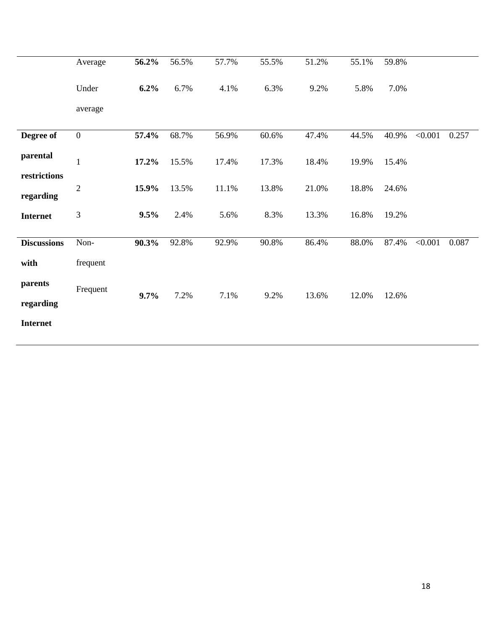|                              | Average          | 56.2% | 56.5% | 57.7% | 55.5% | 51.2% | 55.1% | 59.8% |         |       |
|------------------------------|------------------|-------|-------|-------|-------|-------|-------|-------|---------|-------|
|                              | Under            | 6.2%  | 6.7%  | 4.1%  | 6.3%  | 9.2%  | 5.8%  | 7.0%  |         |       |
|                              | average          |       |       |       |       |       |       |       |         |       |
| Degree of                    | $\boldsymbol{0}$ | 57.4% | 68.7% | 56.9% | 60.6% | 47.4% | 44.5% | 40.9% | < 0.001 | 0.257 |
| parental                     | $\mathbf{1}$     | 17.2% | 15.5% | 17.4% | 17.3% | 18.4% | 19.9% | 15.4% |         |       |
| restrictions                 | $\overline{2}$   | 15.9% | 13.5% | 11.1% | 13.8% | 21.0% | 18.8% | 24.6% |         |       |
| regarding<br><b>Internet</b> | $\mathfrak{Z}$   | 9.5%  | 2.4%  | 5.6%  | 8.3%  | 13.3% | 16.8% | 19.2% |         |       |
|                              |                  |       |       |       |       |       |       |       |         |       |
| <b>Discussions</b>           | Non-             | 90.3% | 92.8% | 92.9% | 90.8% | 86.4% | 88.0% | 87.4% | < 0.001 | 0.087 |
| with                         | frequent         |       |       |       |       |       |       |       |         |       |
| parents                      | Frequent         | 9.7%  | 7.2%  | 7.1%  | 9.2%  | 13.6% | 12.0% | 12.6% |         |       |
| regarding                    |                  |       |       |       |       |       |       |       |         |       |
| <b>Internet</b>              |                  |       |       |       |       |       |       |       |         |       |
|                              |                  |       |       |       |       |       |       |       |         |       |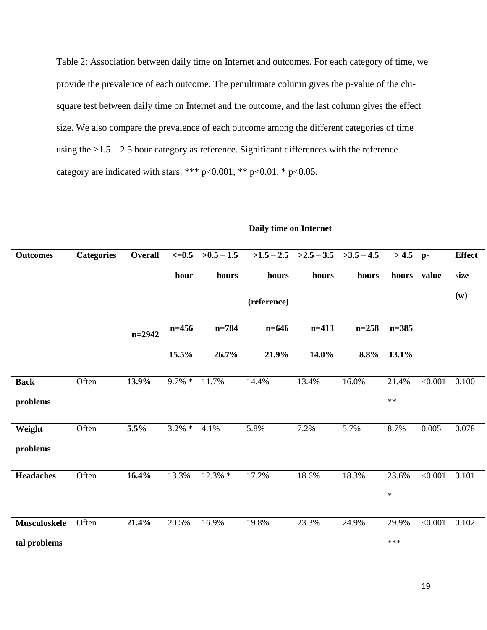Table 2: Association between daily time on Internet and outcomes. For each category of time, we provide the prevalence of each outcome. The penultimate column gives the p-value of the chisquare test between daily time on Internet and the outcome, and the last column gives the effect size. We also compare the prevalence of each outcome among the different categories of time using the  $>1.5 - 2.5$  hour category as reference. Significant differences with the reference category are indicated with stars: \*\*\* p<0.001, \*\* p<0.01, \* p<0.05.

|                     |                   |                |            |              | Daily time on Internet |                                        |           |             |         |               |  |  |
|---------------------|-------------------|----------------|------------|--------------|------------------------|----------------------------------------|-----------|-------------|---------|---------------|--|--|
| <b>Outcomes</b>     | <b>Categories</b> | <b>Overall</b> | $\leq=0.5$ | $>0.5 - 1.5$ |                        | $>1.5 - 2.5$ $>2.5 - 3.5$ $>3.5 - 4.5$ |           | $>4.5$ p-   |         | <b>Effect</b> |  |  |
|                     |                   |                | hour       | hours        | hours                  | hours                                  | hours     | hours value |         | size          |  |  |
|                     |                   |                |            |              | (reference)            |                                        |           |             |         | (w)           |  |  |
|                     |                   | $n = 2942$     | $n=456$    | $n = 784$    | $n = 646$              | $n=413$                                | $n = 258$ | $n = 385$   |         |               |  |  |
|                     |                   |                | 15.5%      | 26.7%        | 21.9%                  | 14.0%                                  | 8.8%      | 13.1%       |         |               |  |  |
| <b>Back</b>         | Often             | 13.9%          | $9.7\% *$  | 11.7%        | 14.4%                  | 13.4%                                  | 16.0%     | 21.4%       | < 0.001 | 0.100         |  |  |
| problems            |                   |                |            |              |                        |                                        |           | $\ast\ast$  |         |               |  |  |
| Weight              | Often             | 5.5%           | $3.2\% *$  | 4.1%         | 5.8%                   | 7.2%                                   | 5.7%      | 8.7%        | 0.005   | 0.078         |  |  |
| problems            |                   |                |            |              |                        |                                        |           |             |         |               |  |  |
| <b>Headaches</b>    | Often             | 16.4%          | 13.3%      | $12.3\%$ *   | 17.2%                  | 18.6%                                  | 18.3%     | 23.6%       | < 0.001 | 0.101         |  |  |
|                     |                   |                |            |              |                        |                                        |           | $\ast$      |         |               |  |  |
| <b>Musculoskele</b> | Often             | 21.4%          | 20.5%      | 16.9%        | 19.8%                  | 23.3%                                  | 24.9%     | 29.9%       | < 0.001 | 0.102         |  |  |
| tal problems        |                   |                |            |              |                        |                                        |           | $***$       |         |               |  |  |